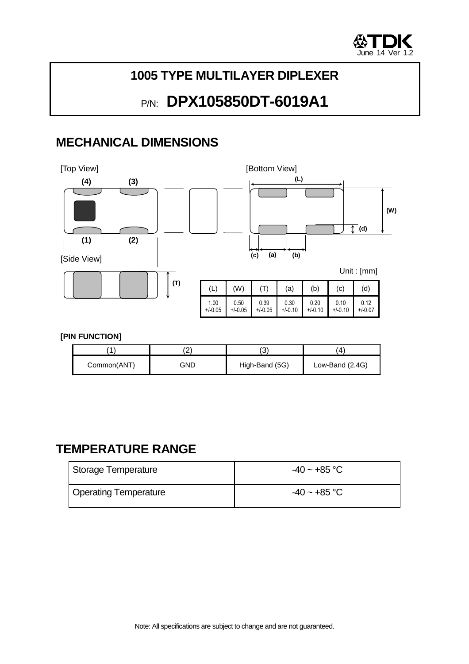

## **1005 TYPE MULTILAYER DIPLEXER**

# P/N: **DPX105850DT-6019A1**

## **MECHANICAL DIMENSIONS**



#### **[PIN FUNCTION]**

|             | <u>.</u> |                |                   |  |
|-------------|----------|----------------|-------------------|--|
| Common(ANT) | GND      | High-Band (5G) | Low-Band $(2.4G)$ |  |

### **TEMPERATURE RANGE**

| Storage Temperature   | $-40 \sim +85$ °C |
|-----------------------|-------------------|
| Operating Temperature | $-40 \sim +85$ °C |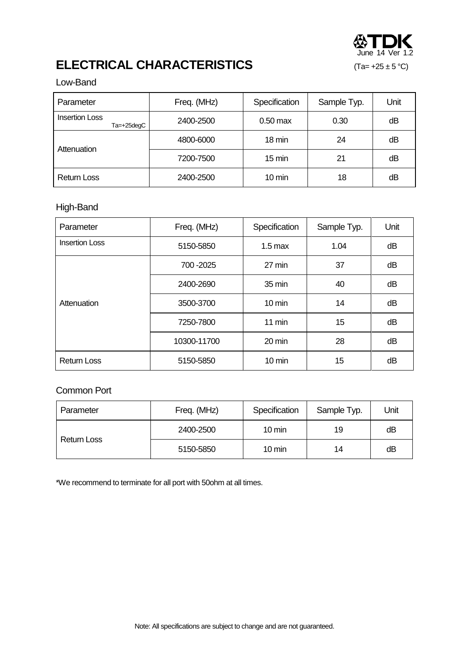

## **ELECTRICAL CHARACTERISTICS** (Ta= +25 ± 5 °C)

#### Low-Band

| Parameter                           | Freq. (MHz) | Specification    | Sample Typ. | Unit |
|-------------------------------------|-------------|------------------|-------------|------|
| <b>Insertion Loss</b><br>Ta=+25deqC | 2400-2500   | $0.50$ max       | 0.30        | dB   |
| Attenuation                         | 4800-6000   | $18 \text{ min}$ | 24          | dΒ   |
|                                     | 7200-7500   | $15 \text{ min}$ | 21          | dB   |
| <b>Return Loss</b>                  | 2400-2500   | $10 \text{ min}$ | 18          | dΒ   |

#### High-Band

| Parameter             | Freq. (MHz) | Specification     | Sample Typ. | Unit |
|-----------------------|-------------|-------------------|-------------|------|
| <b>Insertion Loss</b> | 5150-5850   | $1.5 \text{ max}$ | 1.04        | dB   |
|                       | 700 - 2025  | 27 min            | 37          | dВ   |
|                       | 2400-2690   | 35 min            | 40          | dB   |
| Attenuation           | 3500-3700   | $10 \text{ min}$  | 14          | dВ   |
|                       | 7250-7800   | $11 \text{ min}$  | 15          | dВ   |
|                       | 10300-11700 | 20 min            | 28          | dB   |
| <b>Return Loss</b>    | 5150-5850   | 10 min            | 15          | dB   |

#### Common Port

| Parameter          | Freq. (MHz) | Specification    | Sample Typ. | Unit |
|--------------------|-------------|------------------|-------------|------|
| <b>Return Loss</b> | 2400-2500   | $10 \text{ min}$ | 19          | dВ   |
|                    | 5150-5850   | $10 \text{ min}$ | 14          | dB   |

\*We recommend to terminate for all port with 50ohm at all times.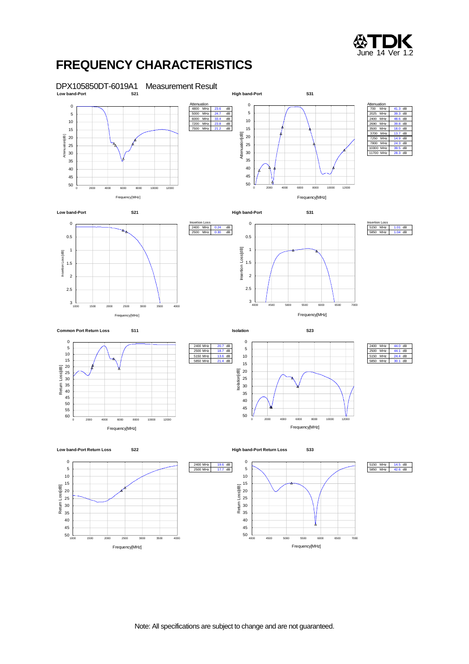

### **FREQUENCY CHARACTERISTICS**

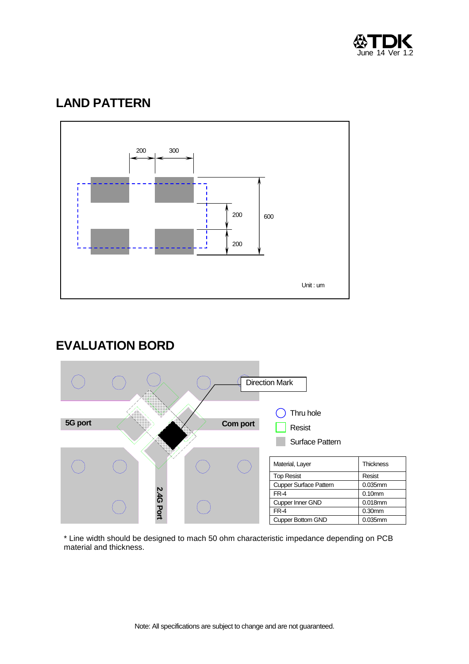

## **LAND PATTERN**



### **EVALUATION BORD**



\* Line width should be designed to mach 50 ohm characteristic impedance depending on PCB material and thickness.